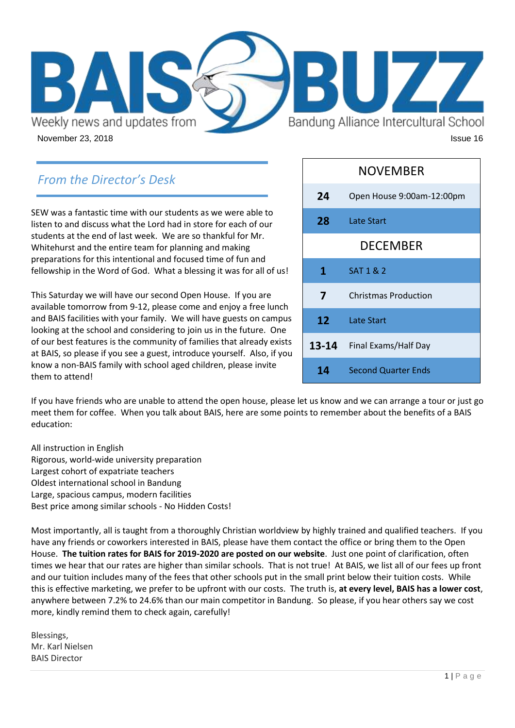

# *From the Director's Desk*

SEW was a fantastic time with our students as we were able to listen to and discuss what the Lord had in store for each of our students at the end of last week. We are so thankful for Mr. Whitehurst and the entire team for planning and making preparations for this intentional and focused time of fun and fellowship in the Word of God. What a blessing it was for all of us!

This Saturday we will have our second Open House. If you are available tomorrow from 9-12, please come and enjoy a free lunch and BAIS facilities with your family. We will have guests on campus looking at the school and considering to join us in the future. One of our best features is the community of families that already exists at BAIS, so please if you see a guest, introduce yourself. Also, if you know a non-BAIS family with school aged children, please invite them to attend!

|                 | <b>NOVEMBER</b>             |
|-----------------|-----------------------------|
| 24              | Open House 9:00am-12:00pm   |
| 28              | Late Start                  |
|                 | <b>DECEMBER</b>             |
| 1               | SAT 1 & 2                   |
| $\overline{7}$  | <b>Christmas Production</b> |
| 12 <sup>7</sup> | <b>Late Start</b>           |
| $13 - 14$       | Final Exams/Half Day        |
| 14              | <b>Second Quarter Ends</b>  |

If you have friends who are unable to attend the open house, please let us know and we can arrange a tour or just go meet them for coffee. When you talk about BAIS, here are some points to remember about the benefits of a BAIS education:

All instruction in English Rigorous, world-wide university preparation Largest cohort of expatriate teachers Oldest international school in Bandung Large, spacious campus, modern facilities Best price among similar schools - No Hidden Costs!

Most importantly, all is taught from a thoroughly Christian worldview by highly trained and qualified teachers. If you have any friends or coworkers interested in BAIS, please have them contact the office or bring them to the Open House. **The tuition rates for BAIS for 2019-2020 are posted on our website**. Just one point of clarification, often times we hear that our rates are higher than similar schools. That is not true! At BAIS, we list all of our fees up front and our tuition includes many of the fees that other schools put in the small print below their tuition costs. While this is effective marketing, we prefer to be upfront with our costs. The truth is, **at every level, BAIS has a lower cost**, anywhere between 7.2% to 24.6% than our main competitor in Bandung. So please, if you hear others say we cost more, kindly remind them to check again, carefully!

Blessings, Mr. Karl Nielsen BAIS Director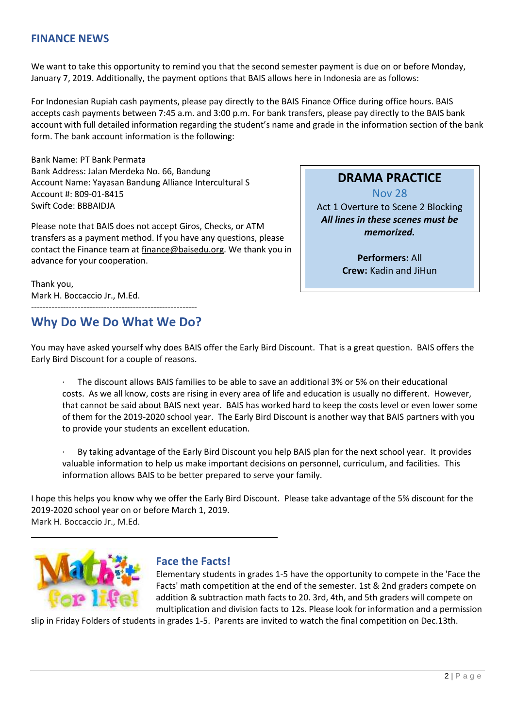### **FINANCE NEWS**

We want to take this opportunity to remind you that the second semester payment is due on or before Monday, January 7, 2019. Additionally, the payment options that BAIS allows here in Indonesia are as follows:

For Indonesian Rupiah cash payments, please pay directly to the BAIS Finance Office during office hours. BAIS accepts cash payments between 7:45 a.m. and 3:00 p.m. For bank transfers, please pay directly to the BAIS bank account with full detailed information regarding the student's name and grade in the information section of the bank form. The bank account information is the following:

Bank Name: PT Bank Permata Bank Address: Jalan Merdeka No. 66, Bandung Account Name: Yayasan Bandung Alliance Intercultural S Account #: 809-01-8415 Swift Code: BBBAIDJA

Please note that BAIS does not accept Giros, Checks, or ATM transfers as a payment method. If you have any questions, please contact the Finance team at [finance@baisedu.org.](mailto:finance@baisedu.org) We thank you in advance for your cooperation.

Thank you, Mark H. Boccaccio Jr., M.Ed.

### --------------------------------------------------------- **Why Do We Do What We Do?**

## **DRAMA PRACTICE**

Nov 28

Act 1 Overture to Scene 2 Blocking *All lines in these scenes must be memorized.*

> **Performers:** All **Crew:** Kadin and JiHun

You may have asked yourself why does BAIS offer the Early Bird Discount. That is a great question. BAIS offers the Early Bird Discount for a couple of reasons.

The discount allows BAIS families to be able to save an additional 3% or 5% on their educational costs. As we all know, costs are rising in every area of life and education is usually no different. However, that cannot be said about BAIS next year. BAIS has worked hard to keep the costs level or even lower some of them for the 2019-2020 school year. The Early Bird Discount is another way that BAIS partners with you to provide your students an excellent education.

· By taking advantage of the Early Bird Discount you help BAIS plan for the next school year. It provides valuable information to help us make important decisions on personnel, curriculum, and facilities. This information allows BAIS to be better prepared to serve your family.

I hope this helps you know why we offer the Early Bird Discount. Please take advantage of the 5% discount for the 2019-2020 school year on or before March 1, 2019. Mark H. Boccaccio Jr., M.Ed.



## **Face the Facts!**

\_\_\_\_\_\_\_\_\_\_\_\_\_\_\_\_\_\_\_\_\_\_\_\_\_\_\_\_\_\_\_\_\_\_\_\_\_\_\_\_\_\_\_\_\_\_\_\_\_\_\_\_

Elementary students in grades 1-5 have the opportunity to compete in the 'Face the Facts' math competition at the end of the semester. 1st & 2nd graders compete on addition & subtraction math facts to 20. 3rd, 4th, and 5th graders will compete on multiplication and division facts to 12s. Please look for information and a permission

slip in Friday Folders of students in grades 1-5. Parents are invited to watch the final competition on Dec.13th.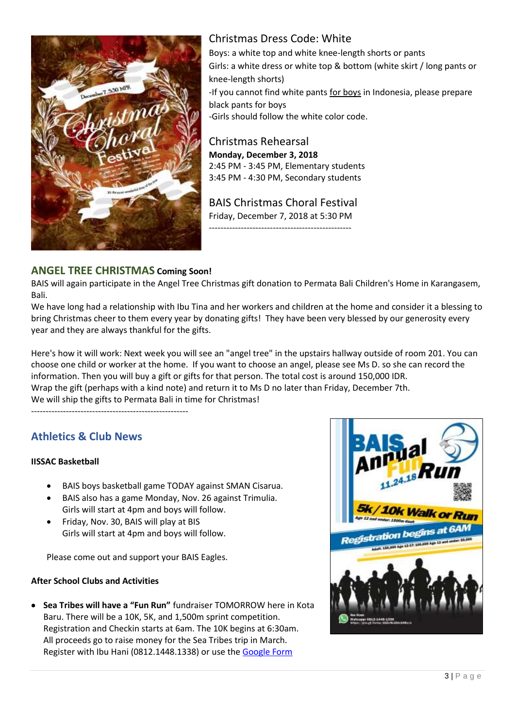

## Christmas Dress Code: White

Boys: a white top and white knee-length shorts or pants Girls: a white dress or white top & bottom (white skirt / long pants or knee-length shorts) -If you cannot find white pants for boys in Indonesia, please prepare black pants for boys -Girls should follow the white color code.

Christmas Rehearsal **Monday, December 3, 2018** 2:45 PM - 3:45 PM, Elementary students 3:45 PM - 4:30 PM, Secondary students

BAIS Christmas Choral Festival Friday, December 7, 2018 at 5:30 PM -------------------------------------------------

## **ANGEL TREE CHRISTMAS Coming Soon!**

BAIS will again participate in the Angel Tree Christmas gift donation to Permata Bali Children's Home in Karangasem, Bali.

We have long had a relationship with Ibu Tina and her workers and children at the home and consider it a blessing to bring Christmas cheer to them every year by donating gifts! They have been very blessed by our generosity every year and they are always thankful for the gifts.

Here's how it will work: Next week you will see an "angel tree" in the upstairs hallway outside of room 201. You can choose one child or worker at the home. If you want to choose an angel, please see Ms D. so she can record the information. Then you will buy a gift or gifts for that person. The total cost is around 150,000 IDR. Wrap the gift (perhaps with a kind note) and return it to Ms D no later than Friday, December 7th. We will ship the gifts to Permata Bali in time for Christmas!

------------------------------------------------------

## **Athletics & Club News**

#### **IISSAC Basketball**

- BAIS boys basketball game TODAY against SMAN Cisarua.
- BAIS also has a game Monday, Nov. 26 against Trimulia. Girls will start at 4pm and boys will follow.
- Friday, Nov. 30, BAIS will play at BIS Girls will start at 4pm and boys will follow.

Please come out and support your BAIS Eagles.

#### **After School Clubs and Activities**

 **Sea Tribes will have a "Fun Run"** fundraiser TOMORROW here in Kota Baru. There will be a 10K, 5K, and 1,500m sprint competition. Registration and Checkin starts at 6am. The 10K begins at 6:30am. All proceeds go to raise money for the Sea Tribes trip in March. Register with Ibu Hani (0812.1448.1338) or use the [Google Form](https://goo.gl/forms/xjwO3aNcePgtakej1)

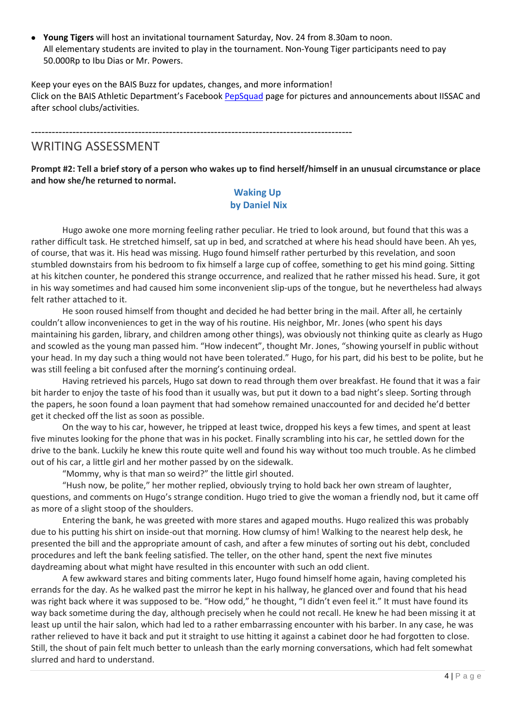**Young Tigers** will host an invitational tournament Saturday, Nov. 24 from 8.30am to noon. All elementary students are invited to play in the tournament. Non-Young Tiger participants need to pay 50.000Rp to Ibu Dias or Mr. Powers.

Keep your eyes on the BAIS Buzz for updates, changes, and more information! Click on the BAIS Athletic Department's Facebook [PepSquad](https://www.facebook.com/groups/1489871781327569/) page for pictures and announcements about IISSAC and after school clubs/activities.

---------------------------------------------------------------------------------------------

## WRITING ASSESSMENT

**Prompt #2: Tell a brief story of a person who wakes up to find herself/himself in an unusual circumstance or place and how she/he returned to normal.** 

#### **Waking Up by Daniel Nix**

Hugo awoke one more morning feeling rather peculiar. He tried to look around, but found that this was a rather difficult task. He stretched himself, sat up in bed, and scratched at where his head should have been. Ah yes, of course, that was it. His head was missing. Hugo found himself rather perturbed by this revelation, and soon stumbled downstairs from his bedroom to fix himself a large cup of coffee, something to get his mind going. Sitting at his kitchen counter, he pondered this strange occurrence, and realized that he rather missed his head. Sure, it got in his way sometimes and had caused him some inconvenient slip-ups of the tongue, but he nevertheless had always felt rather attached to it.

He soon roused himself from thought and decided he had better bring in the mail. After all, he certainly couldn't allow inconveniences to get in the way of his routine. His neighbor, Mr. Jones (who spent his days maintaining his garden, library, and children among other things), was obviously not thinking quite as clearly as Hugo and scowled as the young man passed him. "How indecent", thought Mr. Jones, "showing yourself in public without your head. In my day such a thing would not have been tolerated." Hugo, for his part, did his best to be polite, but he was still feeling a bit confused after the morning's continuing ordeal.

Having retrieved his parcels, Hugo sat down to read through them over breakfast. He found that it was a fair bit harder to enjoy the taste of his food than it usually was, but put it down to a bad night's sleep. Sorting through the papers, he soon found a loan payment that had somehow remained unaccounted for and decided he'd better get it checked off the list as soon as possible.

On the way to his car, however, he tripped at least twice, dropped his keys a few times, and spent at least five minutes looking for the phone that was in his pocket. Finally scrambling into his car, he settled down for the drive to the bank. Luckily he knew this route quite well and found his way without too much trouble. As he climbed out of his car, a little girl and her mother passed by on the sidewalk.

"Mommy, why is that man so weird?" the little girl shouted.

"Hush now, be polite," her mother replied, obviously trying to hold back her own stream of laughter, questions, and comments on Hugo's strange condition. Hugo tried to give the woman a friendly nod, but it came off as more of a slight stoop of the shoulders.

Entering the bank, he was greeted with more stares and agaped mouths. Hugo realized this was probably due to his putting his shirt on inside-out that morning. How clumsy of him! Walking to the nearest help desk, he presented the bill and the appropriate amount of cash, and after a few minutes of sorting out his debt, concluded procedures and left the bank feeling satisfied. The teller, on the other hand, spent the next five minutes daydreaming about what might have resulted in this encounter with such an odd client.

A few awkward stares and biting comments later, Hugo found himself home again, having completed his errands for the day. As he walked past the mirror he kept in his hallway, he glanced over and found that his head was right back where it was supposed to be. "How odd," he thought, "I didn't even feel it." It must have found its way back sometime during the day, although precisely when he could not recall. He knew he had been missing it at least up until the hair salon, which had led to a rather embarrassing encounter with his barber. In any case, he was rather relieved to have it back and put it straight to use hitting it against a cabinet door he had forgotten to close. Still, the shout of pain felt much better to unleash than the early morning conversations, which had felt somewhat slurred and hard to understand.